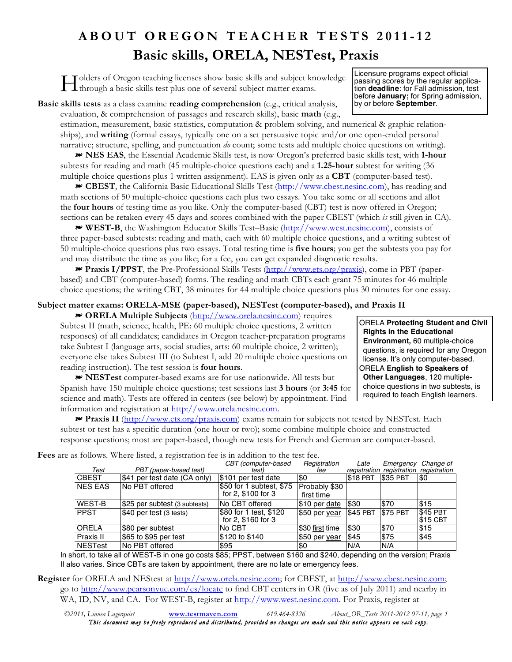## **ABOUT OREGON TEACHER TESTS 2011-12 Basic skills, ORELA, NESTest, Praxis**

olders of Oregon teaching licenses show basic skills and subject knowledge I denote of Oregon teaching licenses show basic skills and subject knowledge<br>
through a basic skills test plus one of several subject matter exams.<br>
the **deadline:** for Fall admission, the Spring admission

passing scores by the regular application **deadline**: for Fall admission, test before **January;** for Spring admission, by or before **September**.

**Basic skills tests** as a class examine **reading comprehension** (e.g., critical analysis, evaluation, & comprehension of passages and research skills), basic **math** (e.g.,

estimation, measurement, basic statistics, computation & problem solving, and numerical & graphic relationships), and **writing** (formal essays, typically one on a set persuasive topic and/or one open-ended personal narrative; structure, spelling, and punctuation *do* count; some tests add multiple choice questions on writing).

 **NES EAS**, the Essential Academic Skills test, is now Oregon's preferred basic skills test, with **1-hour** subtests for reading and math (45 multiple-choice questions each) and a **1.25-hour** subtest for writing (36 multiple choice questions plus 1 written assignment). EAS is given only as a **CBT** (computer-based test).

 **CBEST**, the California Basic Educational Skills Test (http://www.cbest.nesinc.com), has reading and math sections of 50 multiple-choice questions each plus two essays. You take some or all sections and allot the **four hours** of testing time as you like. Only the computer-based (CBT) test is now offered in Oregon; sections can be retaken every 45 days and scores combined with the paper CBEST (which *is* still given in CA).

 **WEST-B**, the Washington Educator Skills Test–Basic (http://www.west.nesinc.com), consists of three paper-based subtests: reading and math, each with 60 multiple choice questions, and a writing subtest of 50 multiple-choice questions plus two essays. Total testing time is **five hours**; you get the subtests you pay for and may distribute the time as you like; for a fee, you can get expanded diagnostic results.

 **Praxis I/PPST**, the Pre-Professional Skills Tests (http://www.ets.org/praxis), come in PBT (paperbased) and CBT (computer-based) forms. The reading and math CBTs each grant 75 minutes for 46 multiple choice questions; the writing CBT, 38 minutes for 44 multiple choice questions plus 30 minutes for one essay.

## **Subject matter exams: ORELA-MSE (paper-based), NESTest (computer-based), and Praxis II**

 **ORELA Multiple Subjects** (http://www.orela.nesinc.com) requires Subtest II (math, science, health, PE: 60 multiple choice questions, 2 written responses) of all candidates; candidates in Oregon teacher-preparation programs take Subtest I (language arts, social studies, arts: 60 multiple choice, 2 written); everyone else takes Subtest III (to Subtest I, add 20 multiple choice questions on reading instruction). The test session is **four hours**.

 **NESTest** computer-based exams are for use nationwide. All tests but Spanish have 150 multiple choice questions; test sessions last **3 hours** (or **3:45** for science and math). Tests are offered in centers (see below) by appointment. Find information and registration at http://www.orela.nesinc.com.

 **Praxis II** (http://www.ets.org/praxis.com) exams remain for subjects not tested by NESTest. Each subtest or test has a specific duration (one hour or two); some combine multiple choice and constructed response questions; most are paper-based, though new tests for French and German are computer-based.

| Test           | PBT (paper-based test)        | CBT (computer-based<br>test)                   | Registration<br>fee         | Late     | Emergency<br>registration registration registration | Change of                  |
|----------------|-------------------------------|------------------------------------------------|-----------------------------|----------|-----------------------------------------------------|----------------------------|
| <b>CBEST</b>   | \$41 per test date (CA only)  | \$101 per test date                            | \$0                         | \$18 PBT | <b>S35 PBT</b>                                      | I\$0                       |
| <b>NES EAS</b> | No PBT offered                | \$50 for 1 subtest, \$75<br>for 2, \$100 for 3 | Probably \$30<br>first time |          |                                                     |                            |
| WEST-B         | \$25 per subtest (3 subtests) | No CBT offered                                 | \$10 per date               | \$30     | \$70                                                | \$15                       |
| <b>PPST</b>    | \$40 per test (3 tests)       | \$80 for 1 test, \$120<br>for 2, \$160 for 3   | \$50 per year               | \$45 PBT | <b>\$75 PBT</b>                                     | \$45 PBT<br><b>S15 CBT</b> |
| ORELA          | \$80 per subtest              | No CBT                                         | \$30 first time             | \$30     | \$70                                                | <b>S</b> 15                |
| Praxis II      | \$65 to \$95 per test         | \$120 to \$140                                 | \$50 per year               | \$45     | \$75                                                | \$45                       |
| <b>NESTest</b> | No PBT offered                | \$95                                           | \$0                         | N/A      | N/A                                                 |                            |

**Fees** are as follows. Where listed, a registration fee is in addition to the test fee.

In short, to take all of WEST-B in one go costs \$85; PPST, between \$160 and \$240, depending on the version; Praxis II also varies. Since CBTs are taken by appointment, there are no late or emergency fees.

**Register** for ORELA and NEStest at http://www.orela.nesinc.com; for CBEST, at http://www.cbest.nesinc.com; go to http://www.pearsonvue.com/es/locate to find CBT centers in OR (five as of July 2011) and nearby in WA, ID, NV, and CA. For WEST-B, register at http://www.west.nesinc.com. For Praxis, register at

*©2011, Linnea Lagerquist* **www.testmaven.com** *619.464-8326 About\_OR\_Tests 2011-2012 07-11, page 1 This document may be freely reproduced and distributed, provided no changes are made and this notice appears on each copy.*

ORELA **Protecting Student and Civil Rights in the Educational Environment,** 60 multiple-choice questions, is required for any Oregon license. It's only computer-based. ORELA **English to Speakers of Other Languages**, 120 multiplechoice questions in two subtests, is required to teach English learners.